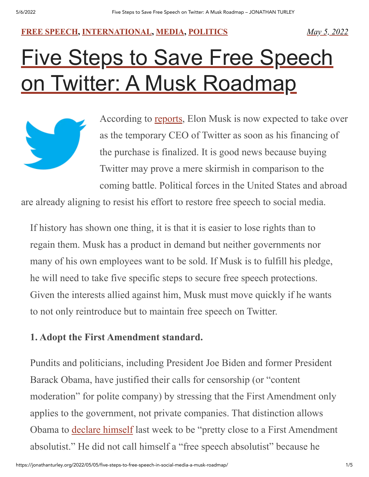#### **FREE [SPEECH](https://jonathanturley.org/category/free-speech/), [INTERNATIONAL](https://jonathanturley.org/category/international/), [MEDIA,](https://jonathanturley.org/category/media/) [POLITICS](https://jonathanturley.org/category/politics/)** *May 5, [2022](https://jonathanturley.org/2022/05/05/five-steps-to-free-speech-in-social-media-a-musk-roadmap/)*

# [Five Steps to Save Free Speech](https://jonathanturley.org/2022/05/05/five-steps-to-free-speech-in-social-media-a-musk-roadmap/) on Twitter: A Musk Roadmap

According to [reports,](https://www.cnbc.com/2022/05/05/elon-musk-expected-to-serve-as-temporary-twitter-ceo-after-deal-closes.html) Elon Musk is now expected to take over as the temporary CEO of Twitter as soon as his financing of the purchase is finalized. It is good news because buying Twitter may prove a mere skirmish in comparison to the coming battle. Political forces in the United States and abroad

are already aligning to resist his effort to restore free speech to social media.

If history has shown one thing, it is that it is easier to lose rights than to regain them. Musk has a product in demand but neither governments nor many of his own employees want to be sold. If Musk is to fulfill his pledge, he will need to take five specific steps to secure free speech protections. Given the interests allied against him, Musk must move quickly if he wants to not only reintroduce but to maintain free speech on Twitter.

# **1. Adopt the First Amendment standard.**

Pundits and politicians, including President Joe Biden and former President Barack Obama, have justified their calls for censorship (or "content moderation" for polite company) by stressing that the First Amendment only applies to the government, not private companies. That distinction allows Obama to declare [himself](https://www.cnbc.com/2022/04/21/obama-calls-for-tech-regulation-to-combat-disinformation-on-internet.html) last week to be "pretty close to a First Amendment absolutist." He did not call himself a "free speech absolutist" because he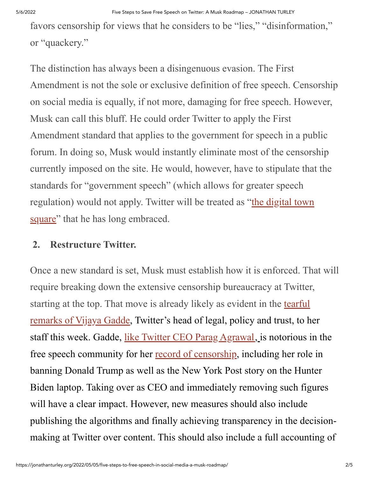favors censorship for views that he considers to be "lies," "disinformation," or "quackery."

The distinction has always been a disingenuous evasion. The First Amendment is not the sole or exclusive definition of free speech. Censorship on social media is equally, if not more, damaging for free speech. However, Musk can call this bluff. He could order Twitter to apply the First Amendment standard that applies to the government for speech in a public forum. In doing so, Musk would instantly eliminate most of the censorship currently imposed on the site. He would, however, have to stipulate that the standards for "government speech" (which allows for greater speech [regulation\)](https://www.theverge.com/2022/4/25/23041754/elon-musk-twitter-free-speech-messaging-app) would not apply. Twitter will be treated as "the digital town square" that he has long embraced.

### **2. Restructure Twitter.**

Once a new standard is set, Musk must establish how it is enforced. That will require breaking down the extensive censorship bureaucracy at Twitter, starting at the top. That move is already likely as evident in the tearful remarks of Vijaya Gadde, [Twitter's](https://www.businessinsider.com/twitter-lawyer-cried-with-employees-over-musk-buy-2022-4) head of legal, policy and trust, to her staff this week. Gadde, like Twitter CEO Parag [Agrawal,](https://jonathanturley.org/2022/04/18/twitter-faces-the-nightmare-of-being-forced-into-free-speech/) is notorious in the free speech community for her record of [censorship,](https://www.politico.com/news/2022/04/26/twitters-top-lawyer-reassures-staff-cries-during-meeting-about-musk-takeover-00027931) including her role in banning Donald Trump as well as the New York Post story on the Hunter Biden laptop. Taking over as CEO and immediately removing such figures will have a clear impact. However, new measures should also include publishing the algorithms and finally achieving transparency in the decisionmaking at Twitter over content. This should also include a full accounting of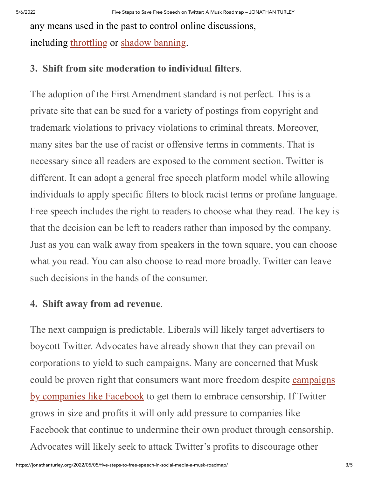any means used in the past to control online discussions, including [throttling](https://blog.leagueapps.com/throttle-facebook-reach/) or shadow [banning.](https://techxplore.com/news/2021-01-exploring-underpinnings-shadowbanning-twitter.html)

## **3. Shift from site moderation to individual filters**.

The adoption of the First Amendment standard is not perfect. This is a private site that can be sued for a variety of postings from copyright and trademark violations to privacy violations to criminal threats. Moreover, many sites bar the use of racist or offensive terms in comments. That is necessary since all readers are exposed to the comment section. Twitter is different. It can adopt a general free speech platform model while allowing individuals to apply specific filters to block racist terms or profane language. Free speech includes the right to readers to choose what they read. The key is that the decision can be left to readers rather than imposed by the company. Just as you can walk away from speakers in the town square, you can choose what you read. You can also choose to read more broadly. Twitter can leave such decisions in the hands of the consumer.

# **4. Shift away from ad revenue**.

The next campaign is predictable. Liberals will likely target advertisers to boycott Twitter. Advocates have already shown that they can prevail on corporations to yield to such campaigns. Many are concerned that Musk could be proven right that consumers want more freedom despite campaigns by companies like Facebook to get them to embrace [censorship.](https://jonathanturley.org/2021/05/03/learning-to-love-content-modification-facebooks-new-campaign-should-have-free-speech-advocates-nervous/) If Twitter grows in size and profits it will only add pressure to companies like Facebook that continue to undermine their own product through censorship. Advocates will likely seek to attack Twitter's profits to discourage other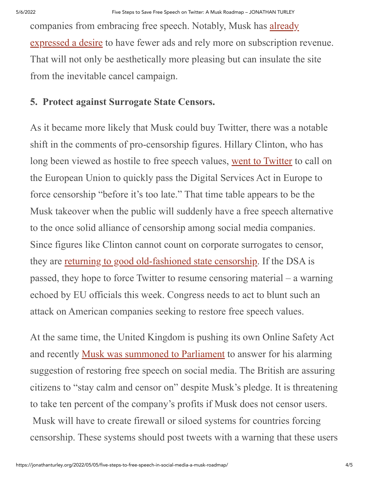companies from embracing free speech. Notably, Musk has already expressed a desire to have fewer ads and rely more on [subscription](https://www.usatoday.com/story/tech/2022/04/26/elon-musk-twitter-subscription-only-service/9540943002/) revenue. That will not only be aesthetically more pleasing but can insulate the site from the inevitable cancel campaign.

# **5. Protect against Surrogate State Censors.**

As it became more likely that Musk could buy Twitter, there was a notable shift in the comments of pro-censorship figures. Hillary Clinton, who has long been viewed as hostile to free speech values, went to [Twitter](https://twitter.com/HillaryClinton/status/1517247388716613634) to call on the European Union to quickly pass the Digital Services Act in Europe to force censorship "before it's too late." That time table appears to be the Musk takeover when the public will suddenly have a free speech alternative to the once solid alliance of censorship among social media companies. Since figures like Clinton cannot count on corporate surrogates to censor, they are returning to good [old-fashioned](https://jonathanturley.org/2022/04/29/democrats-move-from-corporate-censorship-to-good-old-fashioned-state-censorship/) state censorship. If the DSA is passed, they hope to force Twitter to resume censoring material – a warning echoed by EU officials this week. Congress needs to act to blunt such an attack on American companies seeking to restore free speech values.

At the same time, the United Kingdom is pushing its own Online Safety Act and recently Musk was [summoned](https://jonathanturley.org/2022/05/05/stay-calm-and-censor-on-musk-summoned-to-parliament-to-answer-for-his-pledge-to-restore-free-speech/#more-188230) to Parliament to answer for his alarming suggestion of restoring free speech on social media. The British are assuring citizens to "stay calm and censor on" despite Musk's pledge. It is threatening to take ten percent of the company's profits if Musk does not censor users. Musk will have to create firewall or siloed systems for countries forcing censorship. These systems should post tweets with a warning that these users